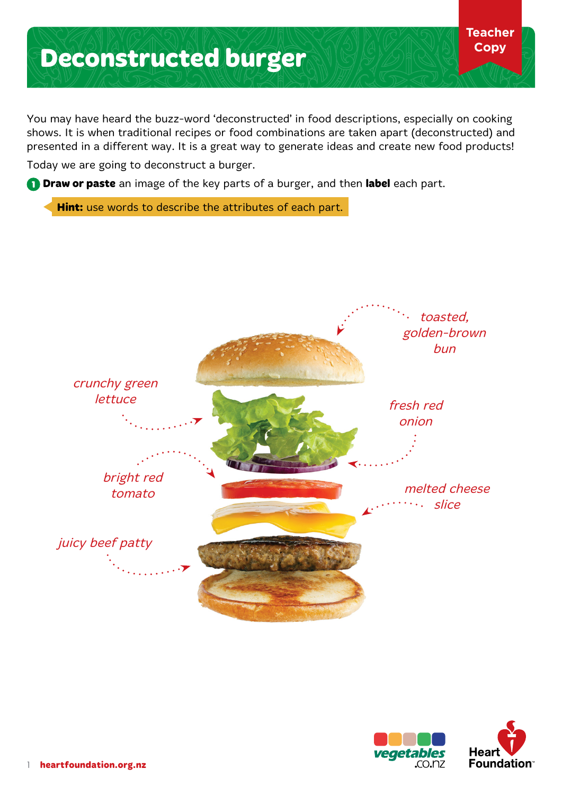## **Deconstructed burger**

You may have heard the buzz-word 'deconstructed' in food descriptions, especially on cooking shows. It is when traditional recipes or food combinations are taken apart (deconstructed) and presented in a different way. It is a great way to generate ideas and create new food products!

Today we are going to deconstruct a burger.

**1 Draw or paste** an image of the key parts of a burger, and then **label** each part.

**Hint:** use words to describe the attributes of each part.





**Teacher Copy**